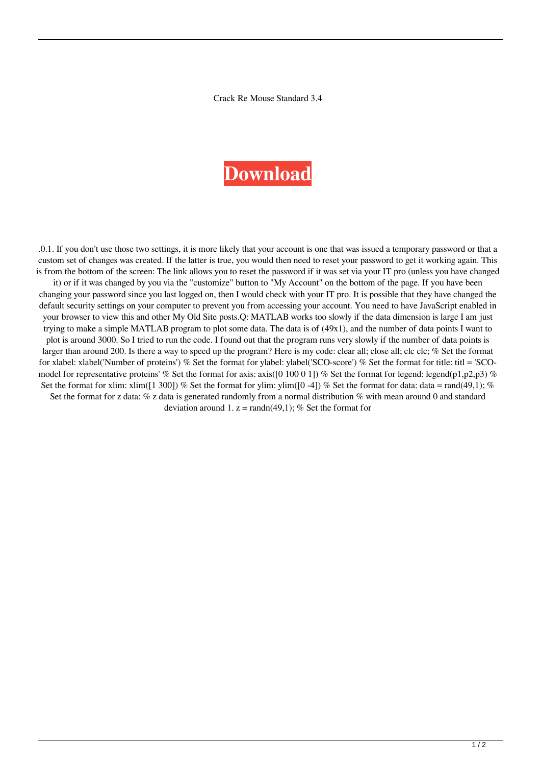Crack Re Mouse Standard 3.4

## **[Download](http://evacdir.com/abhilash.ndjamena?ZG93bmxvYWR8dm41TW5aaWVIeDhNVFkxTWpRMk16QTFNSHg4TWpVM05IeDhLRTBwSUhKbFlXUXRZbXh2WnlCYlJtRnpkQ0JIUlU1ZA=.exercising&Q3JhY2sgcmUgbW91c2Ugc3RhbmRhcmQgMy40Q3J=perkin)**

.0.1. If you don't use those two settings, it is more likely that your account is one that was issued a temporary password or that a custom set of changes was created. If the latter is true, you would then need to reset your password to get it working again. This is from the bottom of the screen: The link allows you to reset the password if it was set via your IT pro (unless you have changed it) or if it was changed by you via the "customize" button to "My Account" on the bottom of the page. If you have been changing your password since you last logged on, then I would check with your IT pro. It is possible that they have changed the default security settings on your computer to prevent you from accessing your account. You need to have JavaScript enabled in your browser to view this and other My Old Site posts.Q: MATLAB works too slowly if the data dimension is large I am just trying to make a simple MATLAB program to plot some data. The data is of (49x1), and the number of data points I want to plot is around 3000. So I tried to run the code. I found out that the program runs very slowly if the number of data points is larger than around 200. Is there a way to speed up the program? Here is my code: clear all; close all; clc clc; % Set the format for xlabel: xlabel('Number of proteins') % Set the format for ylabel: ylabel('SCO-score') % Set the format for title: titl = 'SCOmodel for representative proteins' % Set the format for axis: axis([0 100 0 1]) % Set the format for legend: legend(p1,p2,p3) % Set the format for xlim:  $x\lim([1\ 300])$  % Set the format for ylim:  $y\lim([0\ -4])$  % Set the format for data: data = rand(49,1); % Set the format for z data: % z data is generated randomly from a normal distribution % with mean around 0 and standard deviation around 1.  $z = \text{randn}(49,1)$ ; % Set the format for